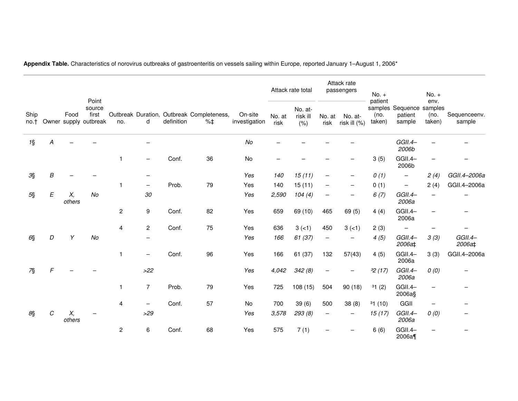| Ship<br>no.t |                           | Food         | Point<br>source<br>first<br>Owner supply outbreak | no.            | d              | definition | Outbreak Duration, Outbreak Completeness,<br>$% \pm$ | On-site<br>investigation | Attack rate total |                             | Attack rate<br>passengers |                         | $No. +$                   |                                               | $No. +$                  |                        |
|--------------|---------------------------|--------------|---------------------------------------------------|----------------|----------------|------------|------------------------------------------------------|--------------------------|-------------------|-----------------------------|---------------------------|-------------------------|---------------------------|-----------------------------------------------|--------------------------|------------------------|
|              |                           |              |                                                   |                |                |            |                                                      |                          | No. at<br>risk    | No. at-<br>risk ill<br>(% ) | No. at<br>risk            | No. at-<br>risk ill (%) | patient<br>(no.<br>taken) | samples Sequence samples<br>patient<br>sample | env.<br>(no.<br>taken)   | Sequenceenv.<br>sample |
| $1\$         | A                         |              |                                                   |                |                |            |                                                      | No                       |                   |                             |                           |                         |                           | GGII.4-<br>2006b                              |                          |                        |
|              |                           |              |                                                   | 1              |                | Conf.      | 36                                                   | No                       |                   |                             |                           |                         | 3(5)                      | GGII.4-<br>2006b                              |                          |                        |
| 3§           | B                         |              |                                                   |                |                |            |                                                      | Yes                      | 140               | 15(11)                      |                           |                         | 0(1)                      | $\overline{\phantom{m}}$                      | 2(4)                     | GGII.4-2006a           |
|              |                           |              |                                                   | 1              | —              | Prob.      | 79                                                   | Yes                      | 140               | 15(11)                      |                           |                         | 0(1)                      | $\qquad \qquad -$                             | 2(4)                     | GGII.4-2006a           |
| $5\S$        | $\boldsymbol{\mathsf{E}}$ | Х,<br>others | No                                                |                | $30\,$         |            |                                                      | Yes                      | 2,590             | 104(4)                      |                           |                         | 6(7)                      | GGII.4-<br>2006a                              |                          |                        |
|              |                           |              |                                                   | $\overline{c}$ | 9              | Conf.      | 82                                                   | Yes                      | 659               | 69 (10)                     | 465                       | 69(5)                   | 4(4)                      | GGII.4-<br>2006a                              | $\qquad \qquad -$        | $\qquad \qquad -$      |
|              |                           |              |                                                   | 4              | $\overline{c}$ | Conf.      | 75                                                   | Yes                      | 636               | $3(-1)$                     | 450                       | $3(-1)$                 | 2(3)                      |                                               |                          |                        |
| $6\$         | D                         | Υ            | No                                                |                | —              |            |                                                      | Yes                      | 166               | 61 (37)                     | $\overline{\phantom{0}}$  |                         | 4(5)                      | GGII.4-<br>2006a‡                             | 3(3)                     | GGII.4-<br>2006a‡      |
|              |                           |              |                                                   | $\mathbf{1}$   | —              | Conf.      | 96                                                   | Yes                      | 166               | 61 (37)                     | 132                       | 57(43)                  | 4(5)                      | GGII.4-<br>2006a                              | 3(3)                     | GGII.4-2006a           |
| 7§           | $\sqrt{2}$                |              |                                                   |                | $>22$          |            |                                                      | Yes                      | 4,042             | 342(8)                      |                           |                         | 32(17)                    | GGII.4-<br>2006a                              | 0(0)                     |                        |
|              |                           |              |                                                   | $\mathbf{1}$   | $\overline{7}$ | Prob.      | 79                                                   | Yes                      | 725               | 108(15)                     | 504                       | 90(18)                  | 31(2)                     | GGII.4-<br>2006a§                             |                          |                        |
|              |                           |              |                                                   | 4              | —              | Conf.      | 57                                                   | No                       | 700               | 39(6)                       | 500                       | 38(8)                   | 31(10)                    | GGII                                          | $\overline{\phantom{m}}$ |                        |
| $8\S$        | C                         | Х,<br>others |                                                   |                | $>29$          |            |                                                      | Yes                      | 3,578             | 293 (8)                     | $\overline{\phantom{m}}$  |                         | 15(17)                    | GGII.4-<br>2006a                              | 0(0)                     |                        |
|              |                           |              |                                                   | $\overline{c}$ | 6              | Conf.      | 68                                                   | Yes                      | 575               | 7(1)                        |                           |                         | 6(6)                      | GGII.4-<br>2006a¶                             |                          |                        |

**Appendix Table.** Characteristics of norovirus outbreaks of gastroenteritis on vessels sailing within Europe, reported January 1–August 1, 2006\*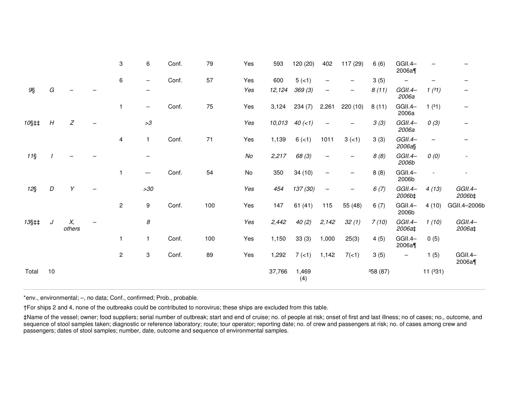|       |    |              |                          | 3            | 6                 | Conf. | 79  | Yes    | 593    | 120 (20)     | 402                      | 117 (29)                 | 6(6)     | GGII.4-<br>2006a¶        |                          |                   |
|-------|----|--------------|--------------------------|--------------|-------------------|-------|-----|--------|--------|--------------|--------------------------|--------------------------|----------|--------------------------|--------------------------|-------------------|
|       |    |              |                          | 6            | —                 | Conf. | 57  | Yes    | 600    | $5(-1)$      | $\overline{\phantom{0}}$ | $\overline{\phantom{m}}$ | 3(5)     | $\overline{\phantom{0}}$ |                          |                   |
| $9\S$ | G  |              |                          |              |                   |       |     | Yes    | 12,124 | 369 (3)      | —                        | $\qquad \qquad -$        | 8(11)    | GGII.4-<br>2006a         | 1(31)                    |                   |
|       |    |              |                          |              | $\qquad \qquad -$ | Conf. | 75  | Yes    | 3,124  | 234(7)       | 2,261                    | 220(10)                  | 8(11)    | GGII.4-<br>2006a         | 1(31)                    | $\qquad \qquad -$ |
| 10§‡‡ | H  | Z            | $\overline{\phantom{m}}$ |              | >3                |       |     | Yes    | 10,013 | $40 (-1)$    | $\overline{\phantom{m}}$ | -                        | 3(3)     | GGII.4-<br>2006a         | 0(3)                     |                   |
|       |    |              |                          | 4            | 1                 | Conf. | 71  | Yes    | 1,139  | $6(-1)$      | 1011                     | $3(-1)$                  | 3(3)     | GGII.4-<br>2006a§        | $\overline{\phantom{a}}$ |                   |
| $11\$ |    |              |                          |              |                   |       |     | $N\!o$ | 2,217  | 68 (3)       | $\overline{\phantom{0}}$ | $\overline{\phantom{0}}$ | 8(8)     | GGII.4-<br>2006b         | 0(0)                     |                   |
|       |    |              |                          |              | --                | Conf. | 54  | No     | 350    | 34(10)       | $\overline{\phantom{0}}$ | —                        | 8(8)     | GGII.4-<br>2006b         |                          |                   |
| $12\$ | D  | Υ            |                          |              | >30               |       |     | Yes    | 454    | 137 (30)     | $\overline{\phantom{m}}$ | $\overline{\phantom{m}}$ | 6(7)     | GGII.4-<br>2006b‡        | 4(13)                    | GGII.4-<br>2006b‡ |
|       |    |              |                          | $\mathbf{2}$ | 9                 | Conf. | 100 | Yes    | 147    | 61(41)       | 115                      | 55 (48)                  | 6(7)     | GGII.4-<br>2006b         | 4(10)                    | GGII.4-2006b      |
| 13§‡‡ | J  | Χ,<br>others |                          |              | 8                 |       |     | Yes    | 2,442  | 40(2)        | 2,142                    | 32(1)                    | 7(10)    | GGII.4-<br>2006a‡        | 1(10)                    | GGII.4-<br>2006a‡ |
|       |    |              |                          |              | 1                 | Conf. | 100 | Yes    | 1,150  | 33(3)        | 1,000                    | 25(3)                    | 4(5)     | GGII.4-<br>2006a¶        | 0(5)                     |                   |
|       |    |              |                          | $\mathbf{2}$ | 3                 | Conf. | 89  | Yes    | 1,292  | 7(1)         | 1,142                    | 7(<1)                    | 3(5)     | $\overline{\phantom{m}}$ | 1(5)                     | GGII.4-<br>2006a¶ |
| Total | 10 |              |                          |              |                   |       |     |        | 37,766 | 1,469<br>(4) |                          |                          | 358 (87) |                          | 11(331)                  |                   |

\*env., environmental; –, no data; Conf., confirmed; Prob., probable.

†For ships 2 and 4, none of the outbreaks could be contributed to norovirus; these ships are excluded from this table.

‡Name of the vessel; owner; food suppliers; serial number of outbreak; start and end of cruise; no. of people at risk; onset of first and last illness; no of cases; no., outcome, and<br>sequence of stool samples taken; diagno